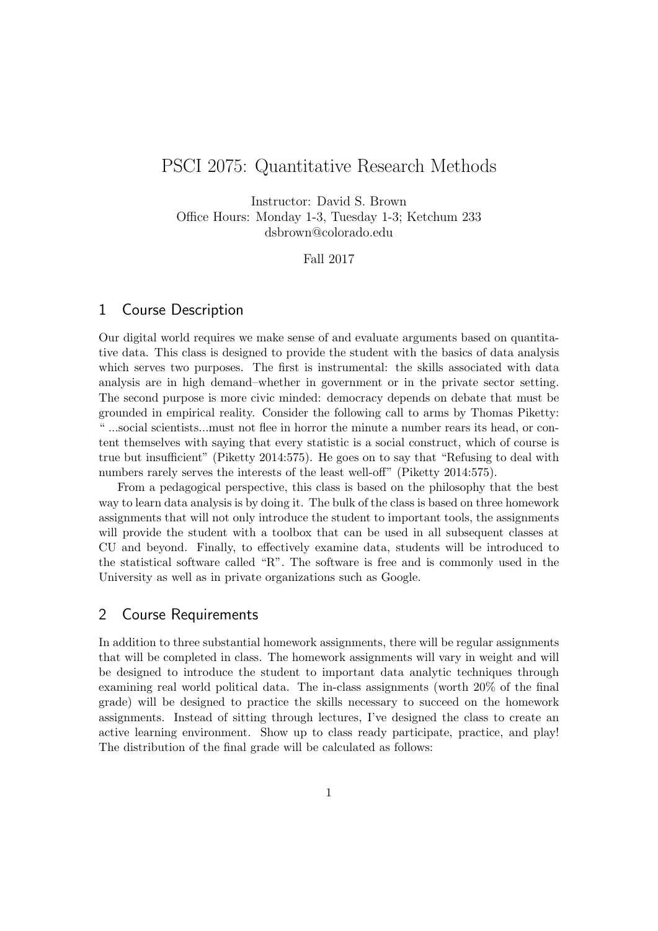# PSCI 2075: Quantitative Research Methods

Instructor: David S. Brown Office Hours: Monday 1-3, Tuesday 1-3; Ketchum 233 dsbrown@colorado.edu

Fall 2017

#### 1 Course Description

Our digital world requires we make sense of and evaluate arguments based on quantitative data. This class is designed to provide the student with the basics of data analysis which serves two purposes. The first is instrumental: the skills associated with data analysis are in high demand–whether in government or in the private sector setting. The second purpose is more civic minded: democracy depends on debate that must be grounded in empirical reality. Consider the following call to arms by Thomas Piketty: " ...social scientists...must not flee in horror the minute a number rears its head, or content themselves with saying that every statistic is a social construct, which of course is true but insufficient" (Piketty 2014:575). He goes on to say that "Refusing to deal with numbers rarely serves the interests of the least well-off" (Piketty 2014:575).

From a pedagogical perspective, this class is based on the philosophy that the best way to learn data analysis is by doing it. The bulk of the class is based on three homework assignments that will not only introduce the student to important tools, the assignments will provide the student with a toolbox that can be used in all subsequent classes at CU and beyond. Finally, to effectively examine data, students will be introduced to the statistical software called "R". The software is free and is commonly used in the University as well as in private organizations such as Google.

## 2 Course Requirements

In addition to three substantial homework assignments, there will be regular assignments that will be completed in class. The homework assignments will vary in weight and will be designed to introduce the student to important data analytic techniques through examining real world political data. The in-class assignments (worth 20% of the final grade) will be designed to practice the skills necessary to succeed on the homework assignments. Instead of sitting through lectures, I've designed the class to create an active learning environment. Show up to class ready participate, practice, and play! The distribution of the final grade will be calculated as follows: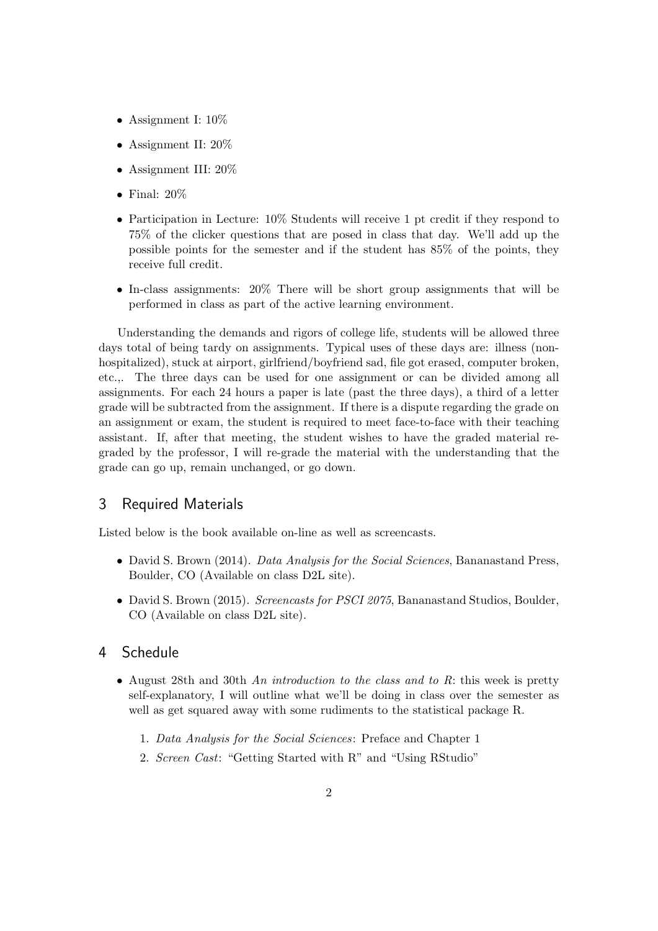- Assignment I: 10%
- Assignment II: 20%
- Assignment III: 20%
- Final:  $20\%$
- Participation in Lecture: 10% Students will receive 1 pt credit if they respond to 75% of the clicker questions that are posed in class that day. We'll add up the possible points for the semester and if the student has 85% of the points, they receive full credit.
- In-class assignments: 20% There will be short group assignments that will be performed in class as part of the active learning environment.

Understanding the demands and rigors of college life, students will be allowed three days total of being tardy on assignments. Typical uses of these days are: illness (nonhospitalized), stuck at airport, girlfriend/boyfriend sad, file got erased, computer broken, etc.,. The three days can be used for one assignment or can be divided among all assignments. For each 24 hours a paper is late (past the three days), a third of a letter grade will be subtracted from the assignment. If there is a dispute regarding the grade on an assignment or exam, the student is required to meet face-to-face with their teaching assistant. If, after that meeting, the student wishes to have the graded material regraded by the professor, I will re-grade the material with the understanding that the grade can go up, remain unchanged, or go down.

#### 3 Required Materials

Listed below is the book available on-line as well as screencasts.

- David S. Brown (2014). *Data Analysis for the Social Sciences*, Bananastand Press, Boulder, CO (Available on class D2L site).
- David S. Brown (2015). Screencasts for PSCI 2075, Bananastand Studios, Boulder, CO (Available on class D2L site).

#### 4 Schedule

- August 28th and 30th An introduction to the class and to R: this week is pretty self-explanatory, I will outline what we'll be doing in class over the semester as well as get squared away with some rudiments to the statistical package R.
	- 1. Data Analysis for the Social Sciences: Preface and Chapter 1
	- 2. Screen Cast: "Getting Started with R" and "Using RStudio"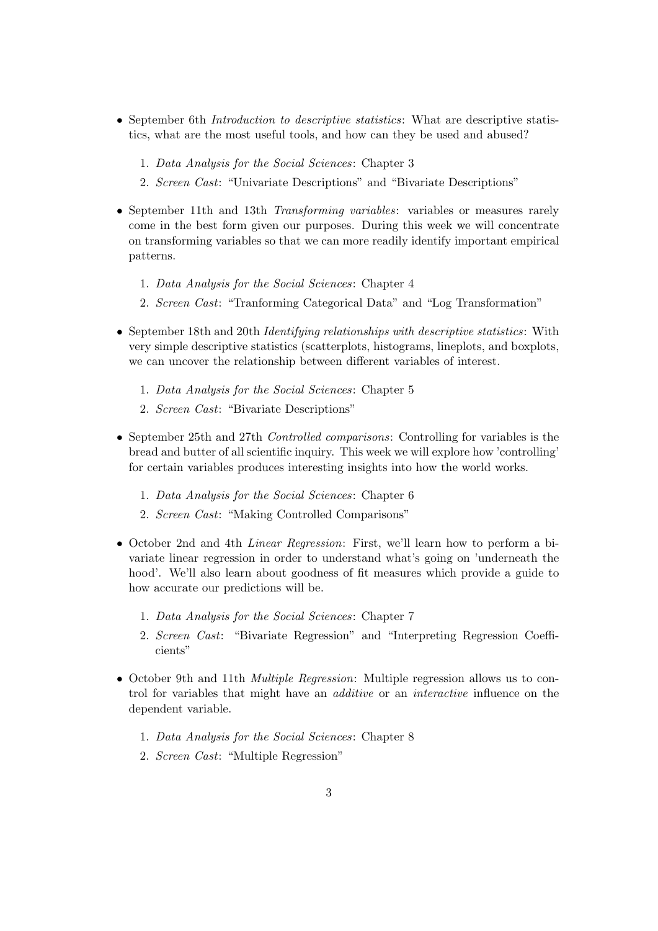- September 6th *Introduction to descriptive statistics*: What are descriptive statistics, what are the most useful tools, and how can they be used and abused?
	- 1. Data Analysis for the Social Sciences: Chapter 3
	- 2. Screen Cast: "Univariate Descriptions" and "Bivariate Descriptions"
- September 11th and 13th *Transforming variables*: variables or measures rarely come in the best form given our purposes. During this week we will concentrate on transforming variables so that we can more readily identify important empirical patterns.
	- 1. Data Analysis for the Social Sciences: Chapter 4
	- 2. Screen Cast: "Tranforming Categorical Data" and "Log Transformation"
- September 18th and 20th *Identifying relationships with descriptive statistics*: With very simple descriptive statistics (scatterplots, histograms, lineplots, and boxplots, we can uncover the relationship between different variables of interest.
	- 1. Data Analysis for the Social Sciences: Chapter 5
	- 2. Screen Cast: "Bivariate Descriptions"
- September 25th and 27th *Controlled comparisons:* Controlling for variables is the bread and butter of all scientific inquiry. This week we will explore how 'controlling' for certain variables produces interesting insights into how the world works.
	- 1. Data Analysis for the Social Sciences: Chapter 6
	- 2. Screen Cast: "Making Controlled Comparisons"
- October 2nd and 4th Linear Regression: First, we'll learn how to perform a bivariate linear regression in order to understand what's going on 'underneath the hood'. We'll also learn about goodness of fit measures which provide a guide to how accurate our predictions will be.
	- 1. Data Analysis for the Social Sciences: Chapter 7
	- 2. Screen Cast: "Bivariate Regression" and "Interpreting Regression Coefficients"
- October 9th and 11th *Multiple Regression*: Multiple regression allows us to control for variables that might have an additive or an interactive influence on the dependent variable.
	- 1. Data Analysis for the Social Sciences: Chapter 8
	- 2. Screen Cast: "Multiple Regression"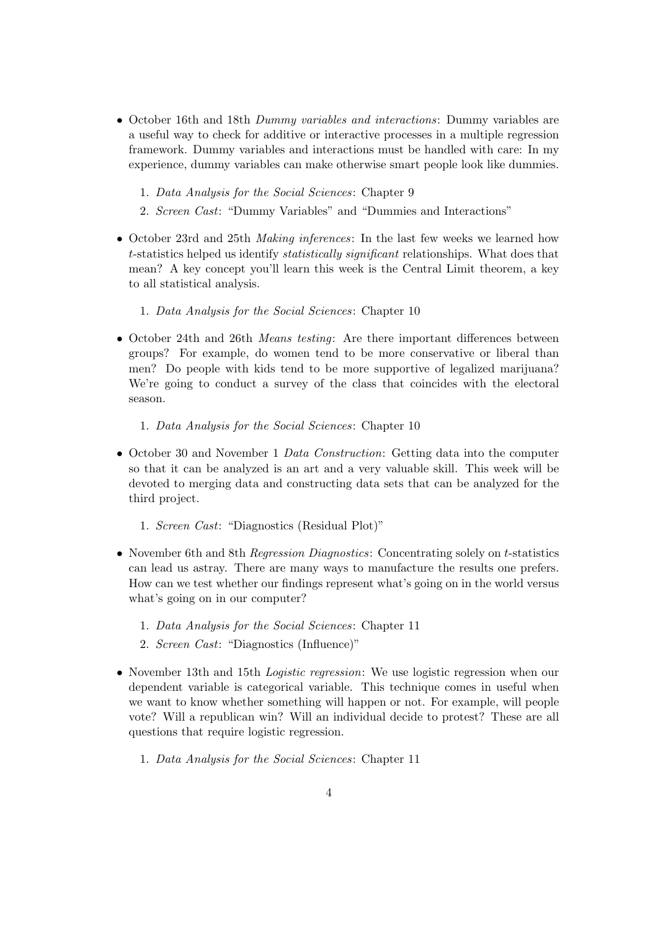- October 16th and 18th Dummy variables and interactions: Dummy variables are a useful way to check for additive or interactive processes in a multiple regression framework. Dummy variables and interactions must be handled with care: In my experience, dummy variables can make otherwise smart people look like dummies.
	- 1. Data Analysis for the Social Sciences: Chapter 9
	- 2. Screen Cast: "Dummy Variables" and "Dummies and Interactions"
- October 23rd and 25th *Making inferences*: In the last few weeks we learned how t-statistics helped us identify statistically significant relationships. What does that mean? A key concept you'll learn this week is the Central Limit theorem, a key to all statistical analysis.
	- 1. Data Analysis for the Social Sciences: Chapter 10
- October 24th and 26th *Means testing*: Are there important differences between groups? For example, do women tend to be more conservative or liberal than men? Do people with kids tend to be more supportive of legalized marijuana? We're going to conduct a survey of the class that coincides with the electoral season.
	- 1. Data Analysis for the Social Sciences: Chapter 10
- October 30 and November 1 Data Construction: Getting data into the computer so that it can be analyzed is an art and a very valuable skill. This week will be devoted to merging data and constructing data sets that can be analyzed for the third project.
	- 1. Screen Cast: "Diagnostics (Residual Plot)"
- November 6th and 8th *Regression Diagnostics*: Concentrating solely on *t*-statistics can lead us astray. There are many ways to manufacture the results one prefers. How can we test whether our findings represent what's going on in the world versus what's going on in our computer?
	- 1. Data Analysis for the Social Sciences: Chapter 11
	- 2. Screen Cast: "Diagnostics (Influence)"
- November 13th and 15th *Logistic regression*: We use logistic regression when our dependent variable is categorical variable. This technique comes in useful when we want to know whether something will happen or not. For example, will people vote? Will a republican win? Will an individual decide to protest? These are all questions that require logistic regression.
	- 1. Data Analysis for the Social Sciences: Chapter 11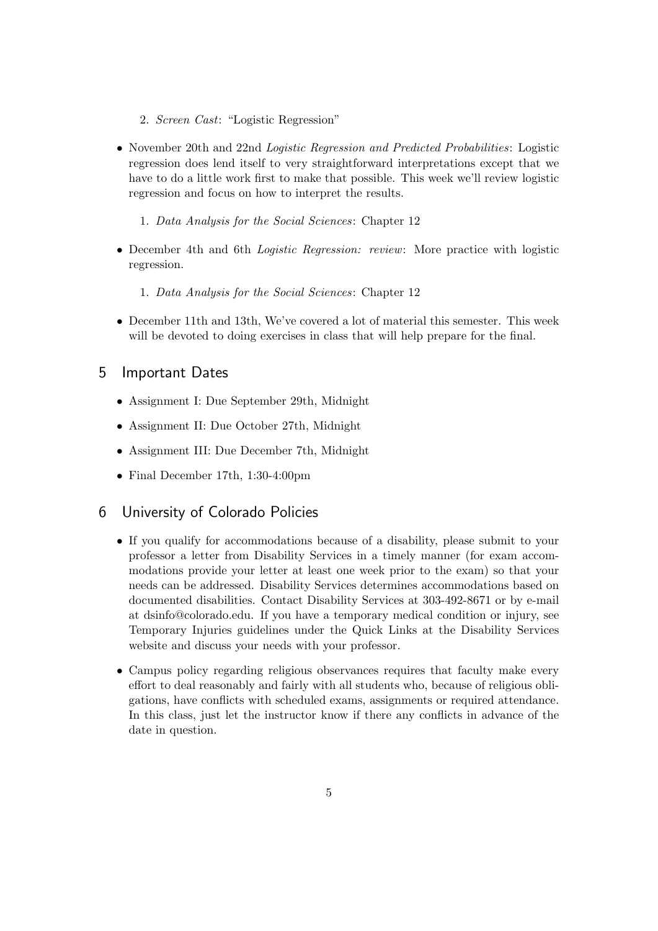- 2. Screen Cast: "Logistic Regression"
- November 20th and 22nd *Logistic Regression and Predicted Probabilities*: Logistic regression does lend itself to very straightforward interpretations except that we have to do a little work first to make that possible. This week we'll review logistic regression and focus on how to interpret the results.
	- 1. Data Analysis for the Social Sciences: Chapter 12
- December 4th and 6th *Logistic Regression: review*: More practice with logistic regression.
	- 1. Data Analysis for the Social Sciences: Chapter 12
- December 11th and 13th, We've covered a lot of material this semester. This week will be devoted to doing exercises in class that will help prepare for the final.

## 5 Important Dates

- Assignment I: Due September 29th, Midnight
- Assignment II: Due October 27th, Midnight
- Assignment III: Due December 7th, Midnight
- Final December 17th, 1:30-4:00pm

### 6 University of Colorado Policies

- If you qualify for accommodations because of a disability, please submit to your professor a letter from Disability Services in a timely manner (for exam accommodations provide your letter at least one week prior to the exam) so that your needs can be addressed. Disability Services determines accommodations based on documented disabilities. Contact Disability Services at 303-492-8671 or by e-mail at dsinfo@colorado.edu. If you have a temporary medical condition or injury, see Temporary Injuries guidelines under the Quick Links at the Disability Services website and discuss your needs with your professor.
- Campus policy regarding religious observances requires that faculty make every effort to deal reasonably and fairly with all students who, because of religious obligations, have conflicts with scheduled exams, assignments or required attendance. In this class, just let the instructor know if there any conflicts in advance of the date in question.